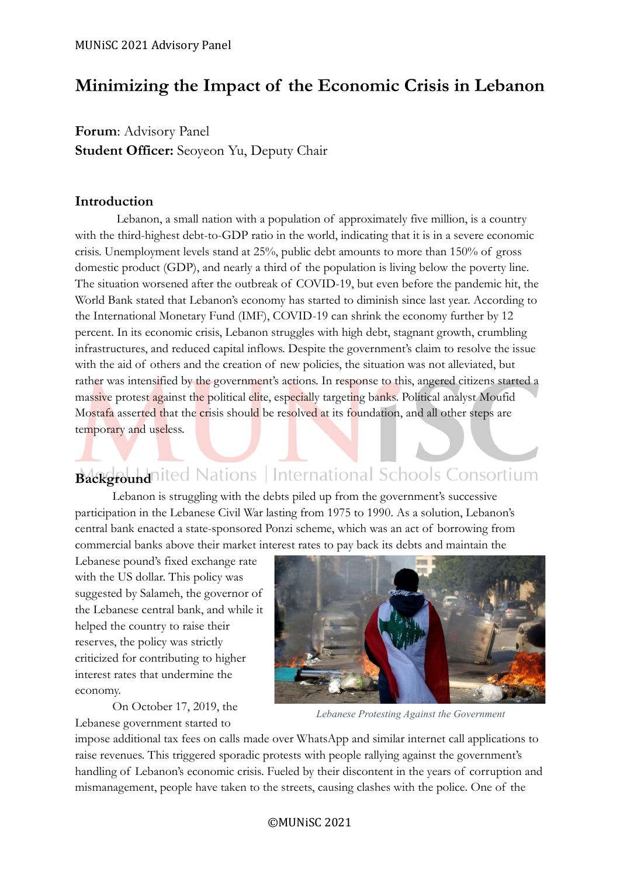# **Minimizing the Impact of the Economic Crisis in Lebanon**

**Forum**: Advisory Panel **Student Officer:** Seoyeon Yu, Deputy Chair

# **Introduction**

Lebanon, a small nation with a population of approximately five million, is a country with the third-highest debt-to-GDP ratio in the world, indicating that it is in a severe economic crisis. Unemployment levels stand at 25%, public debt amounts to more than 150% of gross domestic product (GDP), and nearly a third of the population is living below the poverty line. The situation worsened after the outbreak of COVID-19, but even before the pandemic hit, the World Bank stated that Lebanon's economy has started to diminish since last year. According to the International Monetary Fund (IMF), COVID-19 can shrink the economy further by 12 percent. In its economic crisis, Lebanon struggles with high debt, stagnant growth, crumbling infrastructures, and reduced capital inflows. Despite the government's claim to resolve the issue with the aid of others and the creation of new policies, the situation was not alleviated, but rather was intensified by the government's actions. In response to this, angered citizens started a massive protest against the political elite, especially targeting banks. Political analyst Moufid Mostafa asserted that the crisis should be resolved at its foundation, and all other steps are temporary and useless.

# **Background**nited Nations | International Schools Consortium

Lebanon is struggling with the debts piled up from the government's successive participation in the Lebanese Civil War lasting from 1975 to 1990. As a solution, Lebanon's central bank enacted a state-sponsored Ponzi scheme, which was an act of borrowing from commercial banks above their market interest rates to pay back its debts and maintain the

Lebanese pound's fixed exchange rate with the US dollar. This policy was suggested by Salameh, the governor of the Lebanese central bank, and while it helped the country to raise their reserves, the policy was strictly criticized for contributing to higher interest rates that undermine the economy.

On October 17, 2019, the Lebanese government started to



*Lebanese Protesting Against the Government*

impose additional tax fees on calls made over WhatsApp and similar internet call applications to raise revenues. This triggered sporadic protests with people rallying against the government's handling of Lebanon's economic crisis. Fueled by their discontent in the years of corruption and mismanagement, people have taken to the streets, causing clashes with the police. One of the

©MUNiSC 2021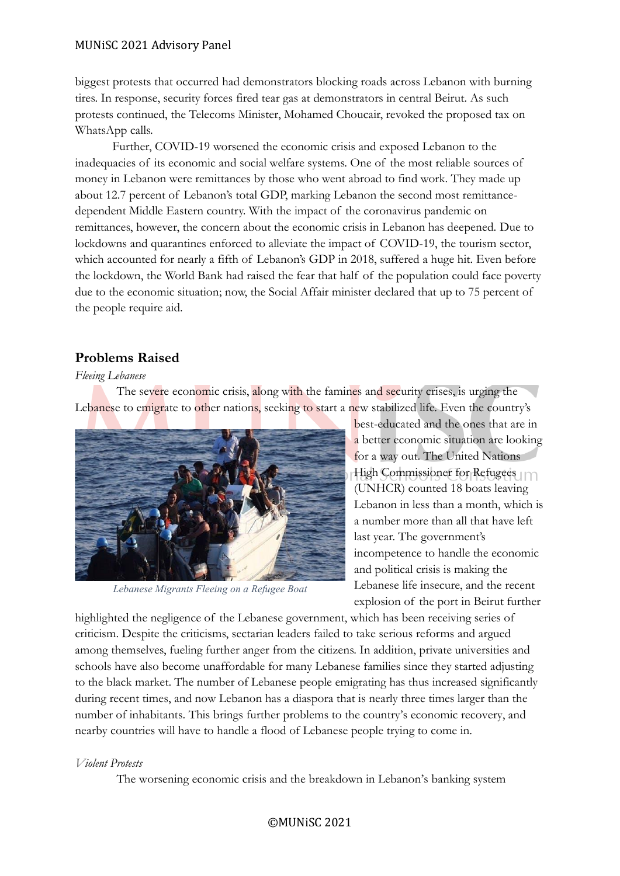biggest protests that occurred had demonstrators blocking roads across Lebanon with burning tires. In response, security forces fired tear gas at demonstrators in central Beirut. As such protests continued, the Telecoms Minister, Mohamed Choucair, revoked the proposed tax on WhatsApp calls.

Further, COVID-19 worsened the economic crisis and exposed Lebanon to the inadequacies of its economic and social welfare systems. One of the most reliable sources of money in Lebanon were remittances by those who went abroad to find work. They made up about 12.7 percent of Lebanon's total GDP, marking Lebanon the second most remittancedependent Middle Eastern country. With the impact of the coronavirus pandemic on remittances, however, the concern about the economic crisis in Lebanon has deepened. Due to lockdowns and quarantines enforced to alleviate the impact of COVID-19, the tourism sector, which accounted for nearly a fifth of Lebanon's GDP in 2018, suffered a huge hit. Even before the lockdown, the World Bank had raised the fear that half of the population could face poverty due to the economic situation; now, the Social Affair minister declared that up to 75 percent of the people require aid.

# **Problems Raised**

#### *Fleeing Lebanese*

The severe economic crisis, along with the famines and security crises, is urging the Lebanese to emigrate to other nations, seeking to start a new stabilized life. Even the country's



*Lebanese Migrants Fleeing on a Refugee Boat*

best-educated and the ones that are in a better economic situation are looking for a way out. The United Nations High Commissioner for Refugees (UNHCR) counted 18 boats leaving Lebanon in less than a month, which is a number more than all that have left last year. The government's incompetence to handle the economic and political crisis is making the Lebanese life insecure, and the recent explosion of the port in Beirut further

highlighted the negligence of the Lebanese government, which has been receiving series of criticism. Despite the criticisms, sectarian leaders failed to take serious reforms and argued among themselves, fueling further anger from the citizens. In addition, private universities and schools have also become unaffordable for many Lebanese families since they started adjusting to the black market. The number of Lebanese people emigrating has thus increased significantly during recent times, and now Lebanon has a diaspora that is nearly three times larger than the number of inhabitants. This brings further problems to the country's economic recovery, and nearby countries will have to handle a flood of Lebanese people trying to come in.

#### *Violent Protests*

The worsening economic crisis and the breakdown in Lebanon's banking system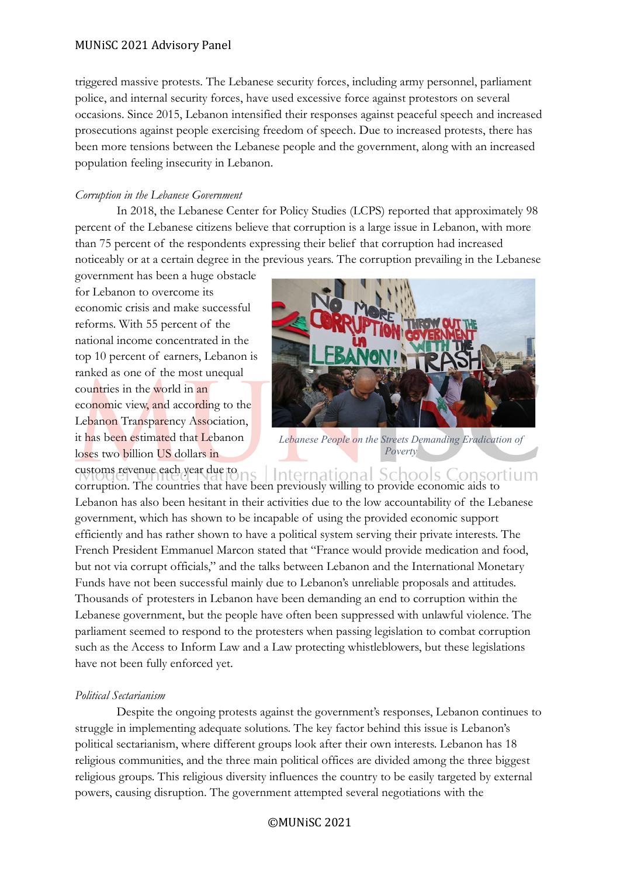triggered massive protests. The Lebanese security forces, including army personnel, parliament police, and internal security forces, have used excessive force against protestors on several occasions. Since 2015, Lebanon intensified their responses against peaceful speech and increased prosecutions against people exercising freedom of speech. Due to increased protests, there has been more tensions between the Lebanese people and the government, along with an increased population feeling insecurity in Lebanon.

#### *Corruption in the Lebanese Government*

In 2018, the Lebanese Center for Policy Studies (LCPS) reported that approximately 98 percent of the Lebanese citizens believe that corruption is a large issue in Lebanon, with more than 75 percent of the respondents expressing their belief that corruption had increased noticeably or at a certain degree in the previous years. The corruption prevailing in the Lebanese

government has been a huge obstacle for Lebanon to overcome its economic crisis and make successful reforms. With 55 percent of the national income concentrated in the top 10 percent of earners, Lebanon is ranked as one of the most unequal countries in the world in an economic view, and according to the Lebanon Transparency Association, it has been estimated that Lebanon loses two billion US dollars in customs revenue each year due to



*Lebanese People on the Streets Demanding Eradication of Poverty*

International Schools Consortium corruption. The countries that have been previously willing to provide economic aids to Lebanon has also been hesitant in their activities due to the low accountability of the Lebanese government, which has shown to be incapable of using the provided economic support efficiently and has rather shown to have a political system serving their private interests. The French President Emmanuel Marcon stated that "France would provide medication and food, but not via corrupt officials," and the talks between Lebanon and the International Monetary Funds have not been successful mainly due to Lebanon's unreliable proposals and attitudes. Thousands of protesters in Lebanon have been demanding an end to corruption within the Lebanese government, but the people have often been suppressed with unlawful violence. The parliament seemed to respond to the protesters when passing legislation to combat corruption such as the Access to Inform Law and a Law protecting whistleblowers, but these legislations have not been fully enforced yet.

#### *Political Sectarianism*

Despite the ongoing protests against the government's responses, Lebanon continues to struggle in implementing adequate solutions. The key factor behind this issue is Lebanon's political sectarianism, where different groups look after their own interests. Lebanon has 18 religious communities, and the three main political offices are divided among the three biggest religious groups. This religious diversity influences the country to be easily targeted by external powers, causing disruption. The government attempted several negotiations with the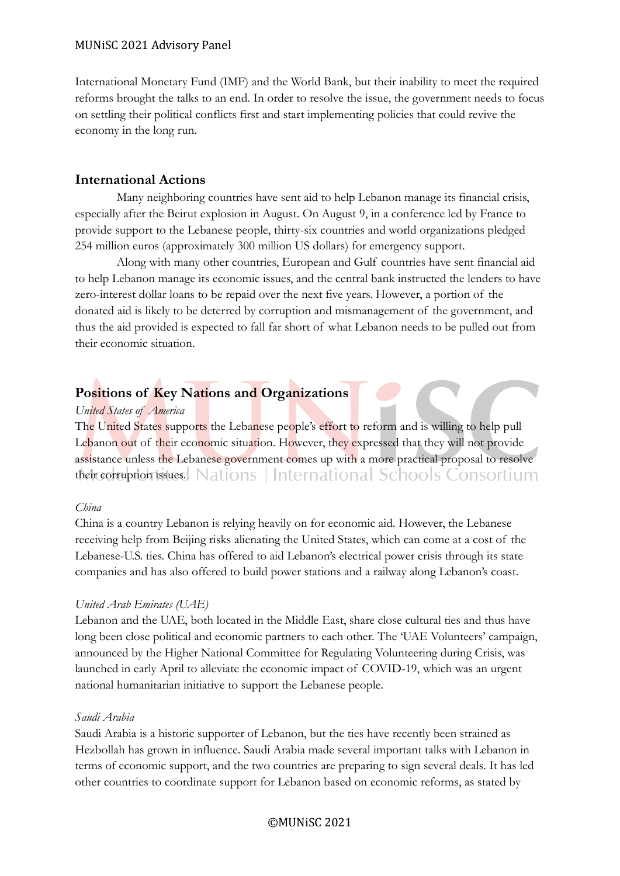International Monetary Fund (IMF) and the World Bank, but their inability to meet the required reforms brought the talks to an end. In order to resolve the issue, the government needs to focus on settling their political conflicts first and start implementing policies that could revive the economy in the long run.

# **International Actions**

Many neighboring countries have sent aid to help Lebanon manage its financial crisis, especially after the Beirut explosion in August. On August 9, in a conference led by France to provide support to the Lebanese people, thirty-six countries and world organizations pledged 254 million euros (approximately 300 million US dollars) for emergency support.

Along with many other countries, European and Gulf countries have sent financial aid to help Lebanon manage its economic issues, and the central bank instructed the lenders to have zero-interest dollar loans to be repaid over the next five years. However, a portion of the donated aid is likely to be deterred by corruption and mismanagement of the government, and thus the aid provided is expected to fall far short of what Lebanon needs to be pulled out from their economic situation.

# **Positions of Key Nations and Organizations**

## *United States of America*

The United States supports the Lebanese people's effort to reform and is willing to help pull Lebanon out of their economic situation. However, they expressed that they will not provide assistance unless the Lebanese government comes up with a more practical proposal to resolve their corruption issues. Nations International Schools Consortium

# *China*

China is a country Lebanon is relying heavily on for economic aid. However, the Lebanese receiving help from Beijing risks alienating the United States, which can come at a cost of the Lebanese-U.S. ties. China has offered to aid Lebanon's electrical power crisis through its state companies and has also offered to build power stations and a railway along Lebanon's coast.

# *United Arab Emirates (UAE)*

Lebanon and the UAE, both located in the Middle East, share close cultural ties and thus have long been close political and economic partners to each other. The 'UAE Volunteers' campaign, announced by the Higher National Committee for Regulating Volunteering during Crisis, was launched in early April to alleviate the economic impact of COVID-19, which was an urgent national humanitarian initiative to support the Lebanese people.

#### *Saudi Arabia*

Saudi Arabia is a historic supporter of Lebanon, but the ties have recently been strained as Hezbollah has grown in influence. Saudi Arabia made several important talks with Lebanon in terms of economic support, and the two countries are preparing to sign several deals. It has led other countries to coordinate support for Lebanon based on economic reforms, as stated by

# ©MUNiSC 2021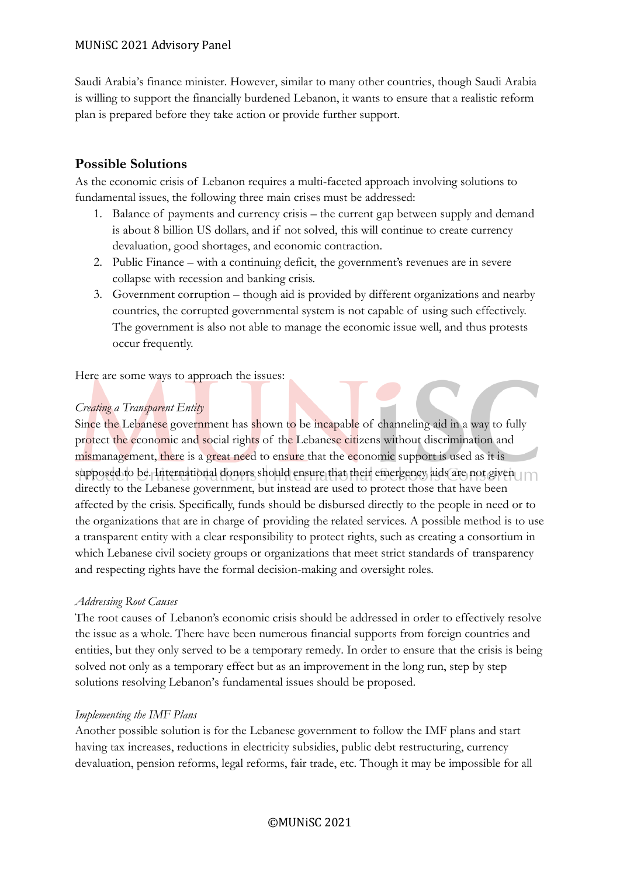Saudi Arabia's finance minister. However, similar to many other countries, though Saudi Arabia is willing to support the financially burdened Lebanon, it wants to ensure that a realistic reform plan is prepared before they take action or provide further support.

# **Possible Solutions**

As the economic crisis of Lebanon requires a multi-faceted approach involving solutions to fundamental issues, the following three main crises must be addressed:

- 1. Balance of payments and currency crisis the current gap between supply and demand is about 8 billion US dollars, and if not solved, this will continue to create currency devaluation, good shortages, and economic contraction.
- 2. Public Finance with a continuing deficit, the government's revenues are in severe collapse with recession and banking crisis.
- 3. Government corruption though aid is provided by different organizations and nearby countries, the corrupted governmental system is not capable of using such effectively. The government is also not able to manage the economic issue well, and thus protests occur frequently.

Here are some ways to approach the issues:

## *Creating a Transparent Entity*

Since the Lebanese government has shown to be incapable of channeling aid in a way to fully protect the economic and social rights of the Lebanese citizens without discrimination and mismanagement, there is a great need to ensure that the economic support is used as it is supposed to be. International donors should ensure that their emergency aids are not given directly to the Lebanese government, but instead are used to protect those that have been affected by the crisis. Specifically, funds should be disbursed directly to the people in need or to the organizations that are in charge of providing the related services. A possible method is to use a transparent entity with a clear responsibility to protect rights, such as creating a consortium in which Lebanese civil society groups or organizations that meet strict standards of transparency and respecting rights have the formal decision-making and oversight roles.

#### *Addressing Root Causes*

The root causes of Lebanon's economic crisis should be addressed in order to effectively resolve the issue as a whole. There have been numerous financial supports from foreign countries and entities, but they only served to be a temporary remedy. In order to ensure that the crisis is being solved not only as a temporary effect but as an improvement in the long run, step by step solutions resolving Lebanon's fundamental issues should be proposed.

#### *Implementing the IMF Plans*

Another possible solution is for the Lebanese government to follow the IMF plans and start having tax increases, reductions in electricity subsidies, public debt restructuring, currency devaluation, pension reforms, legal reforms, fair trade, etc. Though it may be impossible for all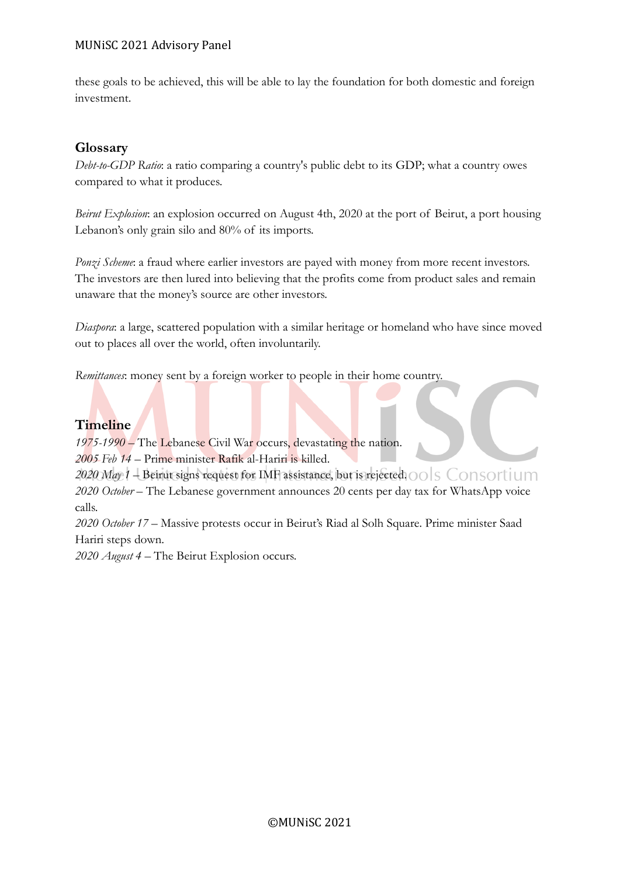these goals to be achieved, this will be able to lay the foundation for both domestic and foreign investment.

# **Glossary**

*Debt-to-GDP Ratio*: a ratio comparing a country's public debt to its GDP; what a country owes compared to what it produces.

*Beirut Explosion*: an explosion occurred on August 4th, 2020 at the port of Beirut, a port housing Lebanon's only grain silo and 80% of its imports.

*Ponzi Scheme*: a fraud where earlier investors are payed with money from more recent investors. The investors are then lured into believing that the profits come from product sales and remain unaware that the money's source are other investors.

*Diaspora*: a large, scattered population with a similar heritage or homeland who have since moved out to places all over the world, often involuntarily.

*Remittances*: money sent by a foreign worker to people in their home country.

# **Timeline**

*1975-1990* – The Lebanese Civil War occurs, devastating the nation.

*2005 Feb 14* – Prime minister Rafik al-Hariri is killed.

*2020 May 1* – Beirut signs request for IMF assistance, but is rejected. *2020 October* – The Lebanese government announces 20 cents per day tax for WhatsApp voice calls.

*2020 October 17* – Massive protests occur in Beirut's Riad al Solh Square. Prime minister Saad Hariri steps down.

*2020 August 4* – The Beirut Explosion occurs.